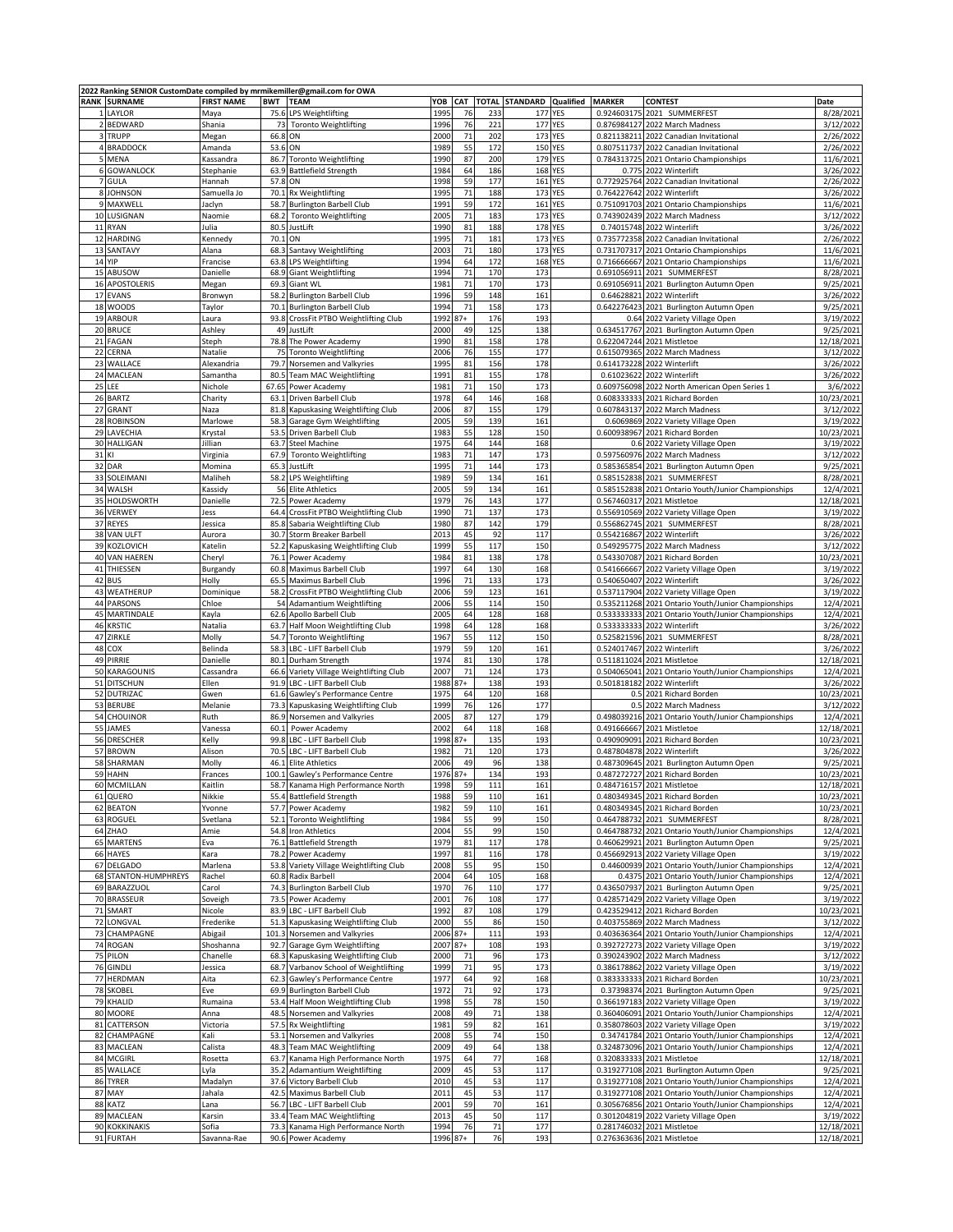|    | 2022 Ranking SENIOR CustomDate compiled by mrmikemiller@gmail.com for OWA |                   |                 |                                                                       |              |            |              |                    |            |               |                                                                                  |                        |
|----|---------------------------------------------------------------------------|-------------------|-----------------|-----------------------------------------------------------------------|--------------|------------|--------------|--------------------|------------|---------------|----------------------------------------------------------------------------------|------------------------|
|    | <b>RANK SURNAME</b>                                                       | <b>FIRST NAME</b> | <b>BWT TEAM</b> |                                                                       | YOB          | <b>CAT</b> | <b>TOTAL</b> | <b>STANDARD</b>    | Qualified  | <b>MARKER</b> | <b>CONTEST</b>                                                                   | Date                   |
|    | 1 LAYLOR                                                                  | Maya              |                 | 75.6 LPS Weightlifting                                                | 1995         | 76         | 233          | 177                | YES        | 0.924603175   | 2021 SUMMERFEST                                                                  | 8/28/2021              |
|    | 2 BEDWARD                                                                 | Shania            | 73              | <b>Toronto Weightlifting</b>                                          | 1996         | 76         | 221          | 177                | <b>YES</b> | 0.876984127   | 2022 March Madness                                                               | 3/12/2022              |
|    | 3 TRUPP                                                                   | Megan             | 66.8            | ON                                                                    | 2000         | 71         | 202          | 173                | <b>YES</b> |               | 0.821138211 2022 Canadian Invitational                                           | 2/26/2022              |
|    | 4 BRADDOCK                                                                | Amanda            | 53.6 ON         |                                                                       | 1989         | 55         | 172          | <b>150 YES</b>     |            | 0.807511737   | 2022 Canadian Invitational                                                       | 2/26/2022              |
|    | 5 MENA                                                                    | Kassandra         |                 | 86.7 Toronto Weightlifting                                            | 1990         | 87         | 200          | 179 YES            |            |               | 0.784313725 2021 Ontario Championships                                           | 11/6/2021              |
|    | 6 GOWANLOCK                                                               | Stephanie         |                 | 63.9 Battlefield Strength                                             | 1984         | 64         | 186          | 168 YES            |            | 0.775         | 2022 Winterlift                                                                  | 3/26/2022              |
|    | 7 GULA                                                                    | Hannah            | 57.8            | ON                                                                    | 1998         | 59         | 177          | 161                | <b>YES</b> | 0.772925764   | 2022 Canadian Invitational                                                       | 2/26/2022              |
|    | 8 JOHNSON                                                                 | Samuella Jo       | 70.1            | Rx Weightlifting                                                      | 1995         | 71         | 188          | 173                | <b>YES</b> | 0.764227642   | 2022 Winterlift                                                                  | 3/26/2022              |
| 9  | MAXWELL                                                                   | Jaclyn            | 58.7            | <b>Burlington Barbell Club</b>                                        | 1991         | 59         | 172          | 161                | YES        | 0.751091703   | 2021 Ontario Championships                                                       | 11/6/2021              |
|    | 10 LUSIGNAN                                                               | Naomie            | 68.2            | <b>Toronto Weightlifting</b>                                          | 2005         | 71         | 183          | 173 YES            |            | 0.743902439   | 2022 March Madness                                                               | 3/12/2022              |
| 11 | <b>RYAN</b>                                                               | Julia             | 80.5            | JustLift<br>ON                                                        | 1990<br>1995 | 81<br>71   | 188          | <b>178 YES</b>     |            | 0.74015748    | 2022 Winterlift                                                                  | 3/26/2022              |
| 12 | HARDING                                                                   | Kennedy           | 70.1            |                                                                       |              | 71         | 181          | 173 YES            |            |               | 0.735772358 2022 Canadian Invitational<br>0.731707317 2021 Ontario Championships | 2/26/2022              |
| 13 | SANTAVY<br>14 YIP                                                         | Alana<br>Francise | 68.3            | Santavy Weightlifting                                                 | 2003<br>1994 | 64         | 180<br>172   | 173 YES<br>168 YES |            | 0.716666667   | 2021 Ontario Championships                                                       | 11/6/2021<br>11/6/2021 |
| 15 | ABUSOW                                                                    |                   |                 | 63.8 LPS Weightlifting<br>68.9 Giant Weightlifting                    | 1994         | 71         | 170          | 173                |            |               | 2021 SUMMERFEST                                                                  | 8/28/2021              |
|    |                                                                           | Danielle          |                 | <b>Giant WL</b>                                                       |              | 71         | 170          | 173                |            | 0.691056911   |                                                                                  |                        |
| 17 | 16 APOSTOLERIS<br><b>EVANS</b>                                            | Megan             | 69.3<br>58.2    |                                                                       | 1981<br>1996 | 59         | 148          | 161                |            |               | 0.691056911 2021 Burlington Autumn Open                                          | 9/25/2021              |
| 18 | <b>WOODS</b>                                                              | Bronwyn           |                 | <b>Burlington Barbell Club</b>                                        | 1994         | 71         | 158          | 173                |            | 0.642276423   | 0.64628821 2022 Winterlift                                                       | 3/26/2022<br>9/25/2021 |
|    | 19 ARBOUR                                                                 | Taylor<br>Laura   |                 | 70.1 Burlington Barbell Club<br>93.8 CrossFit PTBO Weightlifting Club | 1992         | $87+$      | 176          | 193                |            |               | 2021 Burlington Autumn Open<br>0.64 2022 Variety Village Open                    | 3/19/2022              |
|    | 20 BRUCE                                                                  | Ashley            | 49              | JustLift                                                              | 2000         | 49         | 125          | 138                |            | 0.634517767   | 2021 Burlington Autumn Open                                                      | 9/25/2021              |
|    | 21 FAGAN                                                                  | Steph             |                 | 78.8 The Power Academy                                                | 1990         | 81         | 158          | 178                |            |               | 0.622047244 2021 Mistletoe                                                       | 12/18/2021             |
| 22 | CERNA                                                                     | Natalie           | 75              | <b>Toronto Weightlifting</b>                                          | 2006         | 76         | 155          | 177                |            |               | 0.615079365 2022 March Madness                                                   | 3/12/2022              |
|    | 23 WALLACE                                                                | Alexandria        |                 | 79.7 Norsemen and Valkyries                                           | 1995         | 81         | 156          | 178                |            | 0.614173228   | 2022 Winterlift                                                                  | 3/26/2022              |
|    | 24 MACLEAN                                                                | Samantha          | 80.5            | <b>Team MAC Weightlifting</b>                                         | 1991         | 81         | 155          | 178                |            | 0.61023622    | 2022 Winterlift                                                                  | 3/26/2022              |
| 25 | LEE                                                                       | Nichole           |                 | 67.65 Power Academy                                                   | 1981         | 71         | 150          | 173                |            |               | 0.609756098 2022 North American Open Series 1                                    | 3/6/2022               |
| 26 | <b>BARTZ</b>                                                              | Charity           | 63.1            | Driven Barbell Club                                                   | 1978         | 64         | 146          | 168                |            | 0.608333333   | 2021 Richard Borden                                                              | 10/23/2021             |
| 27 | <b>GRANT</b>                                                              | Naza              | 81.8            | Kapuskasing Weightlifting Club                                        | 2006         | 87         | 155          | 179                |            | 0.607843137   | 2022 March Madness                                                               | 3/12/202               |
|    | 28 ROBINSON                                                               | Marlowe           | 58.3            | Garage Gym Weightlifting                                              | 2005         | 59         | 139          | 161                |            | 0.6069869     | 2022 Variety Village Open                                                        | 3/19/2022              |
|    | 29 LAVECHIA                                                               | Krystal           | 53.5            | Driven Barbell Club                                                   | 1983         | 55         | 128          | 150                |            |               | 0.600938967 2021 Richard Borden                                                  | 10/23/2021             |
|    | 30 HALLIGAN                                                               | Jillian           | 63.7            | <b>Steel Machine</b>                                                  | 1975         | 64         | 144          | 168                |            |               | 0.6 2022 Variety Village Open                                                    | 3/19/2022              |
| 31 | KI                                                                        | Virginia          | 67.9            | <b>Toronto Weightlifting</b>                                          | 1983         | 71         | 147          | 173                |            |               | 0.597560976 2022 March Madness                                                   | 3/12/2022              |
| 32 | DAR                                                                       | Momina            | 65.3            | JustLift                                                              | 1995         | 71         | 144          | 173                |            | 0.585365854   | 2021 Burlington Autumn Open                                                      | 9/25/2021              |
|    | 33 SOLEIMANI                                                              | Maliheh           | 58.2            | LPS Weightlifting                                                     | 1989         | 59         | 134          | 161                |            | 0.585152838   | 2021 SUMMERFEST                                                                  | 8/28/2021              |
|    | 34 WALSH                                                                  | Kassidy           |                 | 56 Elite Athletics                                                    | 2005         | 59         | 134          | 161                |            | 0.585152838   | 2021 Ontario Youth/Junior Championships                                          | 12/4/2021              |
| 35 | <b>HOLDSWORTH</b>                                                         | Danielle          | 72.5            | Power Academy                                                         | 1979         | 76         | 143          | 177                |            |               | 0.567460317 2021 Mistletoe                                                       | 12/18/2021             |
| 36 | VERWEY                                                                    | Jess              | 64.4            | CrossFit PTBO Weightlifting Club                                      | 1990         | 71         | 137          | 173                |            |               | 0.556910569 2022 Variety Village Open                                            | 3/19/2022              |
|    | 37 REYES                                                                  | Jessica           | 85.8            | Sabaria Weightlifting Club                                            | 1980         | 87         | 142          | 179                |            | 0.556862745   | 2021 SUMMERFEST                                                                  | 8/28/2021              |
| 38 | VAN ULFT                                                                  | Aurora            | 30.7            | Storm Breaker Barbell                                                 | 2013         | 45         | 92           | 117                |            | 0.554216867   | 2022 Winterlift                                                                  | 3/26/2022              |
|    | 39 KOZLOVICH                                                              | Katelin           |                 | 52.2 Kapuskasing Weightlifting Club                                   | 1999         | 55         | 117          | 150                |            |               | 0.549295775 2022 March Madness                                                   | 3/12/2022              |
|    | 40 VAN HAEREN                                                             | Cheryl            | 76.1            | Power Academy                                                         | 1984         | 81         | 138          | 178                |            | 0.543307087   | 2021 Richard Borden                                                              | 10/23/2021             |
|    | 41 THIESSEN                                                               | Burgandy          |                 | 60.8 Maximus Barbell Club                                             | 1997         | 64         | 130          | 168                |            | 0.541666667   | 2022 Variety Village Open                                                        | 3/19/2022              |
|    | 42 BUS                                                                    | Holly             |                 | 65.5 Maximus Barbell Club                                             | 1996         | 71         | 133          | 173                |            | 0.540650407   | 2022 Winterlift                                                                  | 3/26/2022              |
| 43 | WEATHERUP                                                                 | Dominique         | 58.2            | CrossFit PTBO Weightlifting Club                                      | 2006         | 59         | 123          | 161                |            |               | 0.537117904 2022 Variety Village Open                                            | 3/19/2022              |
|    | 44 PARSONS                                                                | Chloe             |                 | 54 Adamantium Weightlifting                                           | 2006         | 55         | 114          | 150                |            |               | 0.535211268 2021 Ontario Youth/Junior Championships                              | 12/4/2021              |
| 45 | MARTINDALE                                                                | Kayla             | 62.6            | Apollo Barbell Club                                                   | 2005         | 64         | 128          | 168                |            | 0.533333333   | 2021 Ontario Youth/Junior Championships                                          | 12/4/202               |
| 46 | <b>KRSTIC</b>                                                             | Natalia           |                 | 63.7 Half Moon Weightlifting Club                                     | 1998         | 64         | 128          | 168                |            |               | 0.533333333 2022 Winterlift                                                      | 3/26/2022              |
|    | 47 ZIRKLE                                                                 | Molly             | 54.7            | <b>Toronto Weightlifting</b>                                          | 1967         | 55         | 112          | 150                |            | 0.525821596   | 2021 SUMMERFEST                                                                  | 8/28/2021              |
| 48 | COX                                                                       | Belinda           |                 | 58.3 LBC - LIFT Barbell Club                                          | 1979         | 59         | 120          | 161                |            | 0.524017467   | 2022 Winterlift                                                                  | 3/26/2022              |
| 49 | PIRRIE                                                                    | Danielle          | 80.1            | Durham Strength                                                       | 1974         | 81         | 130          | 178                |            | 0.511811024   | 2021 Mistletoe                                                                   | 12/18/202              |
| 50 | <b>KARAGOUNIS</b>                                                         | Cassandra         |                 | 66.6 Variety Village Weightlifting Club                               | 2007         | 71         | 124          | 173                |            | 0.504065041   | 2021 Ontario Youth/Junior Championships                                          | 12/4/2021              |
|    | 51 DITSCHUN                                                               | Ellen             |                 | 91.9 LBC - LIFT Barbell Club                                          | 1988         | $87+$      | 138          | 193                |            | 0.501818182   | 2022 Winterlift                                                                  | 3/26/202               |
| 52 | <b>DUTRIZAC</b>                                                           | Gwen              | 61.6            | Gawley's Performance Centre                                           | 1975         | 64         | 120          | 168                |            | 0.5           | 2021 Richard Borden                                                              | 10/23/2021             |
|    | 53 BERUBE                                                                 | Melanie           | 73.3            | Kapuskasing Weightlifting Club                                        | 1999         | 76         | 126          | 177                |            | 0.5           | 2022 March Madness                                                               | 3/12/2022              |
|    | 54 CHOUINOR                                                               | Ruth              |                 | 86.9 Norsemen and Valkyries                                           | 2005         | 87         | 127          | 179                |            |               | 0.498039216 2021 Ontario Youth/Junior Championships                              | 12/4/2021              |
|    | 55 JAMES                                                                  | Vanessa           | 60.1            | Power Academy                                                         | 2002         | 64         | 118          | 168                |            |               | 0.491666667 2021 Mistletoe                                                       | 12/18/2021             |
|    | 56 DRESCHER                                                               | Kelly             | 99.8            | LBC - LIFT Barbell Club                                               | 1998         | $87+$      | 135          | 193                |            | 0.490909091   | 2021 Richard Borden                                                              | 10/23/2021             |
|    | 57 BROWN                                                                  | Alison            | 70.5            | LBC - LIFT Barbell Club                                               | 1982         | 71         | 120          | 173                |            | 0.487804878   | 2022 Winterlift                                                                  | 3/26/2022              |
| 58 | SHARMAN                                                                   | Molly             | 46.1            | Elite Athletics                                                       | 2006         | 49         | 96           | 138                |            | 0.487309645   | 2021 Burlington Autumn Open                                                      | 9/25/2021              |
|    | 59 HAHN                                                                   | Frances           |                 | 100.1 Gawley's Performance Centre                                     | 1976 87+     |            | 134          | 193                |            |               | 0.487272727 2021 Richard Borden                                                  | 10/23/2021             |
|    | 60 MCMILLAN                                                               | Kaitlin           |                 | 58.7 Kanama High Performance North                                    | 1998         | 59         | 111          | 161                |            |               | 0.484716157 2021 Mistletoe                                                       | 12/18/2021             |
|    | 61 QUERO                                                                  | Nikkie            |                 | 55.4 Battlefield Strength                                             | 1988         | 59         | 110          | 161                |            |               | 0.480349345 2021 Richard Borden                                                  | 10/23/2021             |
|    | 62 BEATON                                                                 | Yvonne            |                 | 57.7 Power Academy                                                    | 1982         | 59         | 110          | 161                |            | 0.480349345   | 2021 Richard Borden                                                              | 10/23/2021             |
|    | 63 ROGUEL                                                                 | Svetlana          |                 | 52.1 Toronto Weightlifting                                            | 1984         | 55         | 99           | 150                |            | 0.464788732   | 2021 SUMMERFEST                                                                  | 8/28/2021              |
|    | 64 ZHAO                                                                   | Amie              |                 | 54.8 Iron Athletics                                                   | 2004         | 55         | 99           | 150                |            | 0.464788732   | 2021 Ontario Youth/Junior Championships                                          | 12/4/2021              |
|    | 65 MARTENS                                                                | Eva               |                 | 76.1 Battlefield Strength                                             | 1979         | 81         | 117          | 178                |            | 0.460629921   | 2021 Burlington Autumn Open                                                      | 9/25/2021              |
|    | 66 HAYES                                                                  | Kara              |                 | 78.2 Power Academy                                                    | 1997         | 81         | 116          | 178                |            | 0.456692913   | 2022 Variety Village Open                                                        | 3/19/2022              |
|    | 67 DELGADO                                                                | Marlena           |                 | 53.8 Variety Village Weightlifting Club                               | 2008         | 55         | 95           | 150                |            |               | 0.44600939 2021 Ontario Youth/Junior Championships                               | 12/4/2021              |
|    | 68 STANTON-HUMPHREYS                                                      | Rachel            |                 | 60.8 Radix Barbell                                                    | 2004         | 64         | 105          | 168                |            | 0.4375        | 2021 Ontario Youth/Junior Championships                                          | 12/4/2021              |
|    | 69 BARAZZUOL                                                              | Carol             |                 | 74.3 Burlington Barbell Club                                          | 1970         | 76         | 110          | 177                |            | 0.436507937   | 2021 Burlington Autumn Open                                                      | 9/25/2021              |
|    | 70 BRASSEUR                                                               | Soveigh           |                 | 73.5 Power Academy                                                    | 2001         | 76         | 108          | 177                |            | 0.428571429   | 2022 Variety Village Open                                                        | 3/19/2022              |
|    | 71 SMART                                                                  | Nicole            |                 | 83.9 LBC - LIFT Barbell Club                                          | 1992         | 87         | 108          | 179                |            | 0.423529412   | 2021 Richard Borden                                                              | 10/23/2021             |
| 72 | LONGVAL                                                                   | Frederike         |                 | 51.3 Kapuskasing Weightlifting Club                                   | 2000         | 55         | 86           | 150                |            |               | 0.403755869 2022 March Madness                                                   | 3/12/2022              |
|    | 73 CHAMPAGNE                                                              | Abigail           |                 | 101.3 Norsemen and Valkyries                                          | 2006 87+     |            | 111          | 193                |            |               | 0.403636364 2021 Ontario Youth/Junior Championships                              | 12/4/2021              |
|    | 74 ROGAN                                                                  | Shoshanna         |                 | 92.7 Garage Gym Weightlifting                                         | 2007         | $87 +$     | 108          | 193                |            | 0.392727273   | 2022 Variety Village Open                                                        | 3/19/2022              |
|    | 75 PILON                                                                  | Chanelle          |                 | 68.3 Kapuskasing Weightlifting Club                                   | 2000         | 71         | 96           | 173                |            | 0.390243902   | 2022 March Madness                                                               | 3/12/2022              |
|    | 76 GINDLI                                                                 | Jessica           |                 | 68.7 Varbanov School of Weightlifting                                 | 1999         | 71         | 95           | 173                |            | 0.386178862   | 2022 Variety Village Open                                                        | 3/19/2022              |
|    | 77 HERDMAN                                                                | Aita              | 62.3            | Gawley's Performance Centre                                           | 1977         | 64         | 92           | 168                |            | 0.383333333   | 2021 Richard Borden                                                              | 10/23/2021             |
|    | 78 SKOBEL                                                                 | Eve               |                 | 69.9 Burlington Barbell Club                                          | 1972         | 71         | 92           | 173                |            | 0.37398374    | 2021 Burlington Autumn Open                                                      | 9/25/2021              |
|    | 79 KHALID                                                                 | Rumaina           |                 | 53.4 Half Moon Weightlifting Club                                     | 1998         | 55         | 78           | 150                |            | 0.366197183   | 2022 Variety Village Open                                                        | 3/19/2022              |
|    | 80 MOORE                                                                  | Anna              |                 | 48.5 Norsemen and Valkyries                                           | 2008         | 49         | 71           | 138                |            |               | 0.360406091 2021 Ontario Youth/Junior Championships                              | 12/4/2021              |
|    | 81 CATTERSON                                                              | Victoria          |                 | 57.5 Rx Weightlifting                                                 | 1981         | 59         | 82           | 161                |            | 0.358078603   | 2022 Variety Village Open                                                        | 3/19/2022              |
|    | 82 CHAMPAGNE                                                              | Kali              |                 | 53.1 Norsemen and Valkyries                                           | 2008         | 55         | 74           | 150                |            | 0.34741784    | 2021 Ontario Youth/Junior Championships                                          | 12/4/2021              |
|    | 83 MACLEAN                                                                | Calista           | 48.3            | <b>Team MAC Weightlifting</b>                                         | 2009         | 49         | 64           | 138                |            | 0.324873096   | 2021 Ontario Youth/Junior Championships                                          | 12/4/2021              |
|    | 84 MCGIRL                                                                 | Rosetta           |                 | 63.7 Kanama High Performance North                                    | 1975         | 64         | 77           | 168                |            |               | 0.320833333 2021 Mistletoe                                                       | 12/18/2021             |
|    | 85 WALLACE                                                                | Lyla              |                 | 35.2 Adamantium Weightlifting                                         | 2009         | 45         | 53           | 117                |            |               | 0.319277108 2021 Burlington Autumn Open                                          | 9/25/2021              |
| 86 | TYRER                                                                     | Madalyn           |                 | 37.6 Victory Barbell Club                                             | 2010         | 45         | 53           | 117                |            |               | 0.319277108 2021 Ontario Youth/Junior Championships                              | 12/4/2021              |
|    | 87 MAY                                                                    | Jahala            |                 | 42.5 Maximus Barbell Club                                             | 2011         | 45         | 53           | 117                |            |               | 0.319277108 2021 Ontario Youth/Junior Championships                              | 12/4/2021              |
|    | 88 KATZ                                                                   | Lana              |                 | 56.7 LBC - LIFT Barbell Club                                          | 2001         | 59         | 70           | 161                |            |               | 0.305676856 2021 Ontario Youth/Junior Championships                              | 12/4/2021              |
|    | 89 MACLEAN                                                                | Karsin            | 33.4            | <b>Team MAC Weightlifting</b>                                         | 2013         | 45         | 50           | 117                |            |               | 0.301204819 2022 Variety Village Open                                            | 3/19/2022              |
|    | 90 KOKKINAKIS                                                             | Sofia             |                 | 73.3 Kanama High Performance North                                    | 1994         | 76         | $71\,$       | 177                |            | 0.281746032   | 2021 Mistletoe                                                                   | 12/18/2021             |
|    | 91 FURTAH                                                                 | Savanna-Rae       |                 | 90.6 Power Academy                                                    | 1996 87+     |            | 76           | 193                |            |               | 0.276363636 2021 Mistletoe                                                       | 12/18/2021             |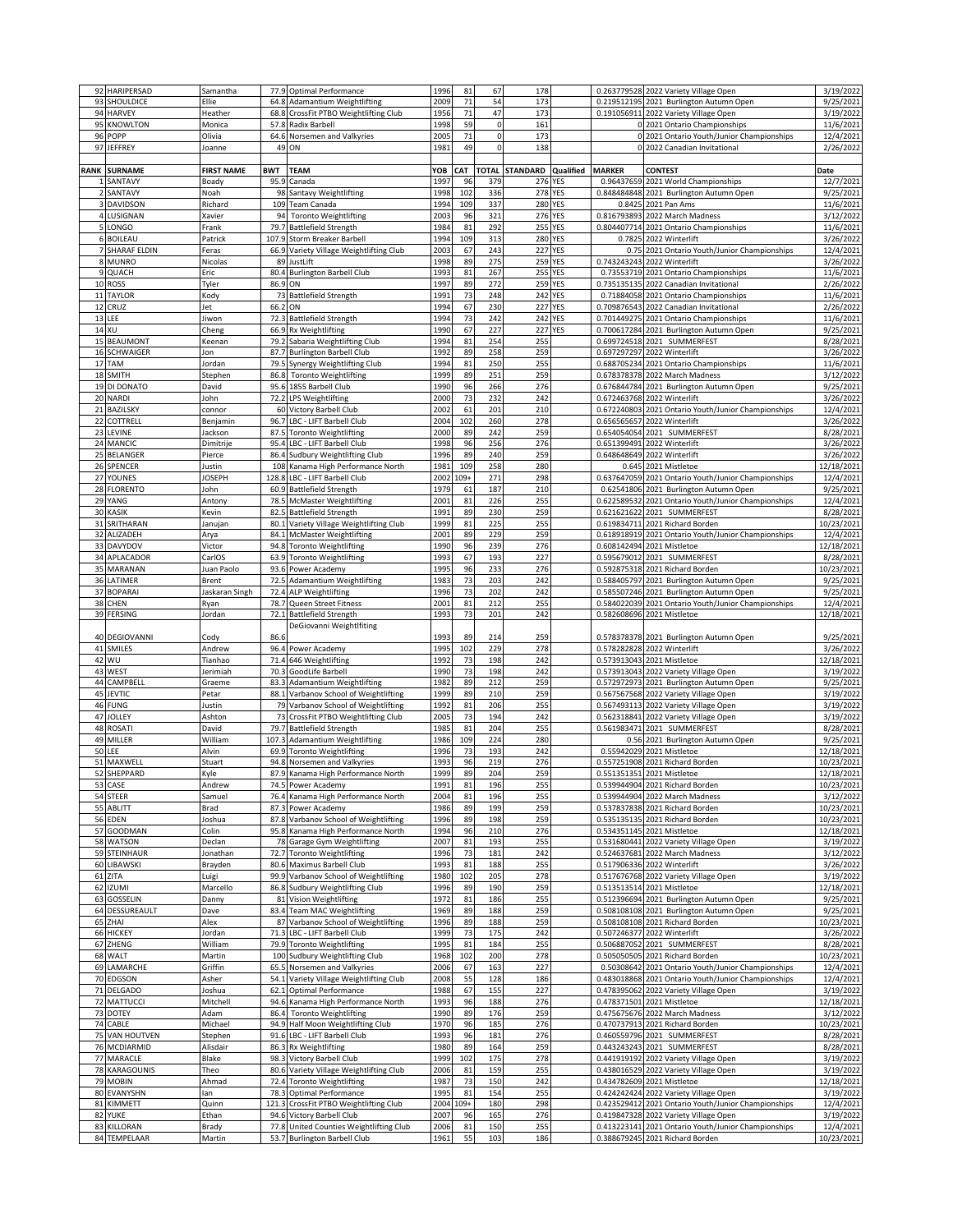| 92          | HARIPERSAD                  | Samantha          | 77.9       | Optimal Performance                                                | 1996         | 81       | 67           | 178             |            |               | 0.263779528 2022 Variety Village Open                                                  | 3/19/2022               |
|-------------|-----------------------------|-------------------|------------|--------------------------------------------------------------------|--------------|----------|--------------|-----------------|------------|---------------|----------------------------------------------------------------------------------------|-------------------------|
|             | 93 SHOULDICE                | Ellie             |            | 64.8 Adamantium Weightlifting                                      | 2009         | 71       | 54           | 173             |            |               | 0.219512195 2021 Burlington Autumn Open                                                | 9/25/2021               |
|             | 94 HARVEY                   | Heather           | 68.8       | CrossFit PTBO Weightlifting Club                                   | 1956         | 71       | 47           | 173             |            |               | 0.191056911 2022 Variety Village Open                                                  | 3/19/2022               |
| 95          | <b>KNOWLTON</b>             | Monica            | 57.8       | Radix Barbell                                                      | 1998         | 59       | $\mathsf 0$  | 161             |            |               | 0 2021 Ontario Championships                                                           | 11/6/2021               |
|             | POPP                        |                   |            |                                                                    |              | 71       | $\pmb{0}$    |                 |            |               |                                                                                        |                         |
| 96          |                             | Olivia            | 64.6       | Norsemen and Valkyries                                             | 2005         |          |              | 173             |            |               | 0 2021 Ontario Youth/Junior Championships                                              | 12/4/2021               |
| 97          | <b>JEFFREY</b>              | Joanne            | 49         | ON                                                                 | 1981         | 49       | $\mathbf 0$  | 138             |            |               | 0 2022 Canadian Invitational                                                           | 2/26/2022               |
|             |                             |                   |            |                                                                    |              |          |              |                 |            |               |                                                                                        |                         |
| <b>RANK</b> | <b>SURNAME</b>              | <b>FIRST NAME</b> | <b>BWT</b> | <b>TEAM</b>                                                        | YOB          | CAT      | <b>TOTAL</b> | <b>STANDARD</b> | Qualified  | <b>MARKER</b> | <b>CONTEST</b>                                                                         | Date                    |
|             | SANTAVY                     | Boady             | 95.9       | Canada                                                             | 1997         | 96       | 379          | 276             | YES        | 0.96437659    | 2021 World Championships                                                               | 12/7/2021               |
|             | SANTAVY                     | Noah              | 98         | Santavy Weightlifting                                              | 1998         | 102      | 336          | <b>278 YES</b>  |            |               | 0.848484848 2021 Burlington Autumn Open                                                | 9/25/2021               |
|             | 3 DAVIDSON                  | Richard           |            | 109 Team Canada                                                    | 1994         | 109      | 337          | <b>280 YES</b>  |            |               | 0.8425 2021 Pan Ams                                                                    | 11/6/2021               |
|             | 4 LUSIGNAN                  | Xavier            | 94         | <b>Toronto Weightlifting</b>                                       | 2003         | 96       | 321          | 276 YES         |            | 0.816793893   | 2022 March Madness                                                                     | 3/12/2022               |
|             | 5 LONGO                     | Frank             | 79.7       | <b>Battlefield Strength</b>                                        | 1984         | 81       | 292          | 255             | <b>YES</b> | 0.804407714   |                                                                                        |                         |
|             |                             |                   |            |                                                                    |              |          |              |                 |            |               | 2021 Ontario Championships                                                             | 11/6/2021               |
|             | 6 BOILEAU                   | Patrick           | 107.9      | Storm Breaker Barbell                                              | 1994         | 109      | 313          | <b>280 YES</b>  |            | 0.7825        | 2022 Winterlift                                                                        | 3/26/2022               |
|             | 7 SHARAF ELDIN              | Feras             | 66.9       | Variety Village Weightlifting Club                                 | 2003         | 67       | 243          | 227             | <b>YES</b> | 0.75          | 2021 Ontario Youth/Junior Championships                                                | 12/4/2021               |
|             | 8 MUNRO                     | Nicolas           | 89         | JustLift                                                           | 1998         | 89       | 275          | 259             | <b>YES</b> |               | 0.743243243 2022 Winterlift                                                            | 3/26/2022               |
|             | 9 QUACH                     | Eric              | 80.4       | <b>Burlington Barbell Club</b>                                     | 1993         | 81       | 267          | 255             | <b>YES</b> |               | 0.73553719 2021 Ontario Championships                                                  | 11/6/2021               |
|             | 10 ROSS                     | Tyler             | 86.9       | ON                                                                 | 1997         | 89       | 272          | 259             | YES        | 0.735135135   | 2022 Canadian Invitational                                                             | 2/26/2022               |
| $11\,$      | <b>TAYLOR</b>               | Kody              | 73         | <b>Battlefield Strength</b>                                        | 1991         | 73       | 248          | 242             | <b>YES</b> |               | 0.71884058 2021 Ontario Championships                                                  | 11/6/2021               |
|             |                             |                   |            |                                                                    |              |          |              |                 |            |               |                                                                                        |                         |
|             | 12 CRUZ                     | Jet               | 66.2       | ON                                                                 | 1994         | 67       | 230          | <b>227 YES</b>  |            |               | 0.709876543 2022 Canadian Invitational                                                 | 2/26/2022               |
|             | 13 LEE                      | Jiwon             | 72.3       | <b>Battlefield Strength</b>                                        | 1994         | 73       | 242          | 242 YES         |            |               | 0.701449275 2021 Ontario Championships                                                 | 11/6/2021               |
|             | 14 XU                       | Cheng             | 66.9       | Rx Weightlifting                                                   | 1990         | 67       | 227          | 227             | <b>YES</b> | 0.700617284   | 2021 Burlington Autumn Open                                                            | 9/25/2021               |
|             | 15 BEAUMONT                 | Keenan            | 79.2       | Sabaria Weightlifting Club                                         | 1994         | 81       | 254          | 255             |            |               | 0.699724518 2021 SUMMERFEST                                                            | 8/28/2021               |
| 16          | <b>SCHWAIGER</b>            | Jon               | 87.7       | <b>Burlington Barbell Club</b>                                     | 1992         | 89       | 258          | 259             |            | 0.697297297   | 2022 Winterlift                                                                        | 3/26/2022               |
|             | 17 TAM                      | Iordan            | 79.5       | Synergy Weightlifting Club                                         | 1994         | 81       | 250          | 255             |            | 0.688705234   | 2021 Ontario Championships                                                             | 11/6/2021               |
|             |                             |                   |            |                                                                    |              |          | 251          |                 |            |               |                                                                                        |                         |
| 18          | <b>SMITH</b>                | Stephen           | 86.8       | <b>Toronto Weightlifting</b>                                       | 1999         | 89       |              | 259             |            | 0.678378378   | 2022 March Madness                                                                     | 3/12/2022               |
|             | 19 DI DONATO                | David             |            | 95.6 1855 Barbell Club                                             | 1990         | 96       | 266          | 276             |            |               | 0.676844784 2021 Burlington Autumn Open                                                | 9/25/2021               |
|             | 20 NARDI                    | John              | 72.2       | <b>LPS Weightlifting</b>                                           | 2000         | 73       | 232          | 242             |            |               | 0.672463768 2022 Winterlift                                                            | 3/26/2022               |
| 21          | <b>BAZILSKY</b>             | connor            |            | 60 Victory Barbell Club                                            | 2002         | 61       | 201          | 210             |            | 0.672240803   | 2021 Ontario Youth/Junior Championships                                                | 12/4/2021               |
| 22          | COTTRELI                    | Benjamin          | 96.7       | LBC - LIFT Barbell Club                                            | 2004         | 102      | 260          | 278             |            | 0.656565657   | 2022 Winterlift                                                                        | 3/26/2022               |
| 23          | LEVINE                      | Jackson           | 87.5       | <b>Toronto Weightlifting</b>                                       | 2000         | 89       | 242          | 259             |            | 0.654054054   | 2021 SUMMERFEST                                                                        | 8/28/2021               |
| 24          | <b>MANCIC</b>               | Dimitrije         | 95.4       | LBC - LIFT Barbell Club                                            | 1998         | 96       | 256          | 276             |            | 0.651399491   | 2022 Winterlift                                                                        | 3/26/2022               |
| 25          | <b>BELANGER</b>             | Pierce            | 86.4       | Sudbury Weightlifting Club                                         | 1996         | 89       | 240          | 259             |            | 0.648648649   | 2022 Winterlift                                                                        | 3/26/2022               |
|             |                             |                   |            |                                                                    |              |          |              |                 |            |               |                                                                                        |                         |
|             | 26 SPENCER                  | lustin            | 108        | Kanama High Performance North                                      | 1981         | 109      | 258          | 280             |            | 0.645         | 2021 Mistletoe                                                                         | 12/18/2021              |
|             | 27 YOUNES                   | <b>JOSEPH</b>     | 128.8      | LBC - LIFT Barbell Club                                            | 2002         | $109+$   | 271          | 298             |            |               | 0.637647059 2021 Ontario Youth/Junior Championships                                    | 12/4/2021               |
|             | 28 FLORENTO                 | John              | 60.9       | <b>Battlefield Strength</b>                                        | 1979         | 61       | 187          | 210             |            |               | 0.62541806 2021 Burlington Autumn Open                                                 | 9/25/2021               |
|             | 29 YANG                     | Antony            | 78.5       | <b>McMaster Weightlifting</b>                                      | 2001         | 81       | 226          | 255             |            |               | 0.622589532 2021 Ontario Youth/Junior Championships                                    | 12/4/2021               |
| 30          | KASIK                       | Kevin             | 82.5       | <b>Battlefield Strength</b>                                        | 1991         | 89       | 230          | 259             |            | 0.621621622   | 2021 SUMMERFEST                                                                        | 8/28/2021               |
|             | SRITHARAN                   |                   |            |                                                                    |              | 81       | 225          | 255             |            |               |                                                                                        |                         |
| 31          |                             | lanujan           | 80.1       | Variety Village Weightlifting Club                                 | 1999         |          |              |                 |            |               | 0.619834711 2021 Richard Borden                                                        | 10/23/2021              |
|             | 32 ALIZADEH                 | Arya              | 84.1       | <b>McMaster Weightlifting</b>                                      | 2001         | 89       | 229          | 259             |            |               | 0.618918919 2021 Ontario Youth/Junior Championships                                    | 12/4/2021               |
|             | 33 DAVYDOV                  | Victor            | 94.8       | <b>Toronto Weightlifting</b>                                       | 1990         | 96       | 239          | 276             |            |               | 0.608142494 2021 Mistletoe                                                             | 12/18/2021              |
| 34          | APLACADOR                   | CarlOS            | 63.9       | <b>Toronto Weightlifting</b>                                       | 1993         | 67       | 193          | 227             |            | 0.595679012   | 2021 SUMMERFEST                                                                        | 8/28/2021               |
|             | 35 MARANAN                  | Iuan Paolo        | 93.6       | Power Academy                                                      | 1995         | 96       | 233          | 276             |            | 0.592875318   | 2021 Richard Borden                                                                    | 10/23/2021              |
|             | 36 LATIMER                  | Brent             | 72.5       | <b>Adamantium Weightlifting</b>                                    | 1983         | 73       | 203          | 242             |            |               | 0.588405797 2021 Burlington Autumn Open                                                | 9/25/2021               |
|             | 37 BOPARAI                  | Jaskaran Singh    | 72.4       | <b>ALP Weightlifting</b>                                           | 1996         | 73       | 202          | 242             |            |               | 0.585507246 2021 Burlington Autumn Open                                                | 9/25/2021               |
|             |                             |                   |            |                                                                    |              | 81       | 212          | 255             |            |               |                                                                                        |                         |
|             | 38 CHEN                     | Ryan              | 78.7       | Queen Street Fitness                                               | 2001         |          |              |                 |            |               | 0.584022039 2021 Ontario Youth/Junior Championships                                    | 12/4/2021               |
|             | 39 FERSING                  | Iordan            | 72.1       | <b>Battlefield Strength</b>                                        | 1993         | 73       | 201          | 242             |            |               | 0.582608696 2021 Mistletoe                                                             | 12/18/2021              |
|             |                             |                   |            | DeGiovanni Weightlfiting                                           |              |          |              |                 |            |               |                                                                                        |                         |
|             | 40 DEGIOVANNI               | Cody              | 86.6       |                                                                    | 1993         | 89       | 214          | 259             |            |               | 0.578378378 2021 Burlington Autumn Open                                                | 9/25/2021               |
| 41          | SMILES                      | Andrew            |            | 96.4 Power Academy                                                 | 1995         | 102      | 229          | 278             |            |               | 0.578282828 2022 Winterlift                                                            | 3/26/2022               |
| 42          | WU                          | Tianhao           | 71.4       | 646 Weightlifting                                                  | 1992         | 73       | 198          | 242             |            |               | 0.573913043 2021 Mistletoe                                                             | 12/18/2021              |
|             | 43 WEST                     | Jerimiah          |            | 70.3 GoodLife Barbell                                              | 1990         | 73       | 198          | 242             |            |               | 0.573913043 2022 Variety Village Open                                                  | 3/19/2022               |
|             |                             |                   |            |                                                                    |              | 89       |              |                 |            |               |                                                                                        |                         |
|             | 44 CAMPBELL                 | Graeme            | 83.3       | Adamantium Weightlifting                                           | 1982         |          | 212          | 259             |            |               | 0.572972973 2021 Burlington Autumn Open                                                | 9/25/2021               |
|             | 45 JEVTIC                   | Petar             | 88.1       | Varbanov School of Weightlifting                                   | 1999         | 89       | 210          | 259             |            |               | 0.567567568 2022 Variety Village Open                                                  | 3/19/2022               |
|             | 46 FUNG                     | lustin            | 79         | Varbanov School of Weightlifting                                   | 1992         | 81       | 206          | 255             |            |               | 0.567493113 2022 Variety Village Open                                                  | 3/19/2022               |
| 47          | <b>JOLLEY</b>               | Ashton            | 73         | CrossFit PTBO Weightlifting Club                                   | 2005         | 73       | 194          | 242             |            |               | 0.562318841 2022 Variety Village Open                                                  | 3/19/2022               |
|             | 48 ROSAT                    | David             | 79.7       | <b>Battlefield Strength</b>                                        | 1985         | 81       | 204          | 255             |            |               | 0.561983471 2021 SUMMERFEST                                                            | 8/28/2021               |
| 49          | MILLER                      | William           | 107.3      | <b>Adamantium Weightlifting</b>                                    | 1986         | 109      | 224          | 280             |            |               | 0.56 2021 Burlington Autumn Open                                                       | 9/25/2021               |
|             | <b>50 LEE</b>               | Alvin             | 69.9       | <b>Toronto Weightlifting</b>                                       | 1996         | 73       | 193          | 242             |            | 0.55942029    | 2021 Mistletoe                                                                         | 12/18/2021              |
| 51          | MAXWELL                     | Stuart            | 94.8       | Norsemen and Valkyries                                             | 1993         | 96       | 219          | 276             |            |               | 0.557251908 2021 Richard Borden                                                        | 10/23/2021              |
|             |                             |                   |            |                                                                    |              |          |              | 259             |            |               |                                                                                        |                         |
|             | 52 SHEPPARD                 | Kyle              |            | 87.9 Kanama High Performance North                                 | 1999         | 89       | 204          |                 |            |               | 0.551351351 2021 Mistletoe                                                             | 12/18/2021              |
|             | 53 CASE                     | Andrew            |            | 74.5 Power Academy                                                 | 1991         | 81       |              |                 |            |               |                                                                                        |                         |
|             | 54 STEER                    | Samuel            | 76.4       | Kanama High Performance North                                      | 2004         |          | 196          | 255             |            |               | 0.539944904 2021 Richard Borden                                                        | 10/23/2021              |
|             | 55 ABLITT                   | Brad              |            |                                                                    |              | 81       | 196          | 255             |            |               | 0.539944904 2022 March Madness                                                         | 3/12/2022               |
|             | 56 EDEN                     |                   | 87.3       | Power Academy                                                      | 1986         | 89       | 199          | 259             |            |               | 0.537837838 2021 Richard Borden                                                        | 10/23/2021              |
|             |                             | Ioshua            |            | 87.8 Varbanov School of Weightlifting                              | 1996         | 89       | 198          | 259             |            |               | 0.535135135 2021 Richard Borden                                                        | 10/23/2021              |
|             | 57 GOODMAN                  | Colin             |            | 95.8 Kanama High Performance North                                 | 1994         | 96       | 210          | 276             |            |               | 0.534351145 2021 Mistletoe                                                             | 12/18/2021              |
|             | 58 WATSON                   | Declan            | 78         | <b>Garage Gym Weightlifting</b>                                    | 2007         | 81       | 193          | 255             |            |               | 0.531680441 2022 Variety Village Open                                                  | 3/19/2022               |
|             |                             |                   |            |                                                                    |              |          |              |                 |            |               |                                                                                        |                         |
|             | 59 STEINHAUR                | Ionathan          | 72.7       | <b>Toronto Weightlifting</b>                                       | 1996         | 73       | 181          | 242             |            |               | 0.524637681 2022 March Madness                                                         | 3/12/2022               |
|             | 60 LIBAWSKI                 | Brayden           | 80.6       | Maximus Barbell Club                                               | 1993         | 81       | 188          | 255             |            |               | 0.517906336 2022 Winterlift                                                            | 3/26/2022               |
|             | 61 ZITA                     | Luigi             | 99.9       | Varbanov School of Weightlifting                                   | 1980         | 102      | 205          | 278             |            |               | 0.517676768 2022 Variety Village Open                                                  | 3/19/2022               |
|             | 62 IZUMI                    | Marcello          |            | 86.8 Sudbury Weightlifting Club                                    | 1996         | 89       | 190          | 259             |            |               | 0.513513514 2021 Mistletoe                                                             | 12/18/2021              |
|             | 63 GOSSELIN                 | Danny             |            | 81 Vision Weightlifting                                            | 1972         | 81       | 186          | 255             |            |               | 0.512396694 2021 Burlington Autumn Open                                                | 9/25/2021               |
|             | 64 DESSUREAULT              | Dave              |            | 83.4 Team MAC Weightlifting                                        | 1969         | 89       | 188          | 259             |            |               | 0.508108108 2021 Burlington Autumn Open                                                | 9/25/2021               |
|             | 65 ZHAI                     | Alex              | 87         | Varbanov School of Weightlifting                                   | 1996         | 89       | 188          | 259             |            |               | 0.508108108 2021 Richard Borden                                                        | 10/23/2021              |
|             | 66 HICKEY                   | Iordan            | 71.3       | LBC - LIFT Barbell Club                                            | 1999         | 73       | 175          | 242             |            | 0.507246377   | 2022 Winterlift                                                                        | 3/26/2022               |
|             |                             |                   |            |                                                                    |              |          |              |                 |            |               |                                                                                        |                         |
|             | 67 ZHENG                    | William           |            | 79.9 Toronto Weightlifting                                         | 1995         | 81       | 184          | 255             |            | 0.506887052   | 2021 SUMMERFEST                                                                        | 8/28/2021               |
|             | 68 WALT                     | Martin            |            | 100 Sudbury Weightlifting Club                                     | 1968         | 102      | 200          | 278             |            |               | 0.505050505 2021 Richard Borden                                                        | 10/23/2021              |
|             | 69 LAMARCHE                 | Griffin           |            | 65.5 Norsemen and Valkyries                                        | 2006         | 67       | 163          | 227             |            |               | 0.50308642 2021 Ontario Youth/Junior Championships                                     | 12/4/2021               |
|             | 70 EDGSON                   | Asher             |            | 54.1 Variety Village Weightlifting Club                            | 2008         | 55       | 128          | 186             |            |               | 0.483018868 2021 Ontario Youth/Junior Championships                                    | 12/4/2021               |
|             | 71 DELGADO                  | Ioshua            | 62.1       | Optimal Performance                                                | 1988         | 67       | 155          | 227             |            | 0.478395062   | 2022 Variety Village Open                                                              | 3/19/2022               |
|             | 72 MATTUCCI                 | Mitchell          |            | 94.6 Kanama High Performance North                                 | 1993         | 96       | 188          | 276             |            |               | 0.478371501 2021 Mistletoe                                                             | 12/18/2021              |
|             | 73 DOTEY                    | Adam              | 86.4       | <b>Toronto Weightlifting</b>                                       | 1990         | 89       | 176          | 259             |            |               | 0.475675676 2022 March Madness                                                         | 3/12/2022               |
|             |                             |                   | 94.9       |                                                                    |              |          |              |                 |            |               |                                                                                        |                         |
| 74          | CABLE                       | Michael           |            | Half Moon Weightlifting Club                                       | 1970         | 96       | 185          | 276             |            |               | 0.470737913 2021 Richard Borden                                                        | 10/23/2021              |
|             | 75 VAN HOUTVEN              | Stephen           | 91.6       | LBC - LIFT Barbell Club                                            | 1993         | 96       | 181          | 276             |            |               | 0.460559796 2021 SUMMERFEST                                                            | 8/28/2021               |
|             | 76 MCDIARMID                | Alisdair          |            | 86.3 Rx Weightlifting                                              | 1980         | 89       | 164          | 259             |            |               | 0.443243243 2021 SUMMERFEST                                                            | 8/28/2021               |
|             | 77 MARACLE                  | Blake             |            | 98.3 Victory Barbell Club                                          | 1999         | 102      | 175          | 278             |            |               | 0.441919192 2022 Variety Village Open                                                  | 3/19/2022               |
|             | 78 KARAGOUNIS               | Theo              |            | 80.6 Variety Village Weightlifting Club                            | 2006         | 81       | 159          | 255             |            |               | 0.438016529 2022 Variety Village Open                                                  | 3/19/2022               |
|             | 79 MOBIN                    | Ahmad             |            | 72.4 Toronto Weightlifting                                         | 1987         | 73       | 150          | 242             |            |               | 0.434782609 2021 Mistletoe                                                             | 12/18/2021              |
|             | 80 EVANYSHN                 | lan               | 78.3       | <b>Optimal Performance</b>                                         | 1995         | 81       | 154          | 255             |            |               | 0.424242424 2022 Variety Village Open                                                  | 3/19/2022               |
|             | 81 KIMMETT                  | Quinn             | 121.3      | CrossFit PTBO Weightlifting Club                                   | 2004         | $109+$   | 180          | 298             |            |               | 0.423529412 2021 Ontario Youth/Junior Championships                                    |                         |
|             |                             |                   |            |                                                                    |              |          |              |                 |            |               |                                                                                        | 12/4/2021               |
|             | 82 YUKE                     | Ethan             |            | 94.6 Victory Barbell Club                                          | 2007         | 96       | 165          | 276             |            |               | 0.419847328 2022 Variety Village Open                                                  | 3/19/2022               |
|             | 83 KILLORAN<br>84 TEMPELAAR | Brady<br>Martin   | 77.8       | United Counties Weightlifting Club<br>53.7 Burlington Barbell Club | 2006<br>1961 | 81<br>55 | 150<br>103   | 255<br>186      |            |               | 0.413223141 2021 Ontario Youth/Junior Championships<br>0.388679245 2021 Richard Borden | 12/4/2021<br>10/23/2021 |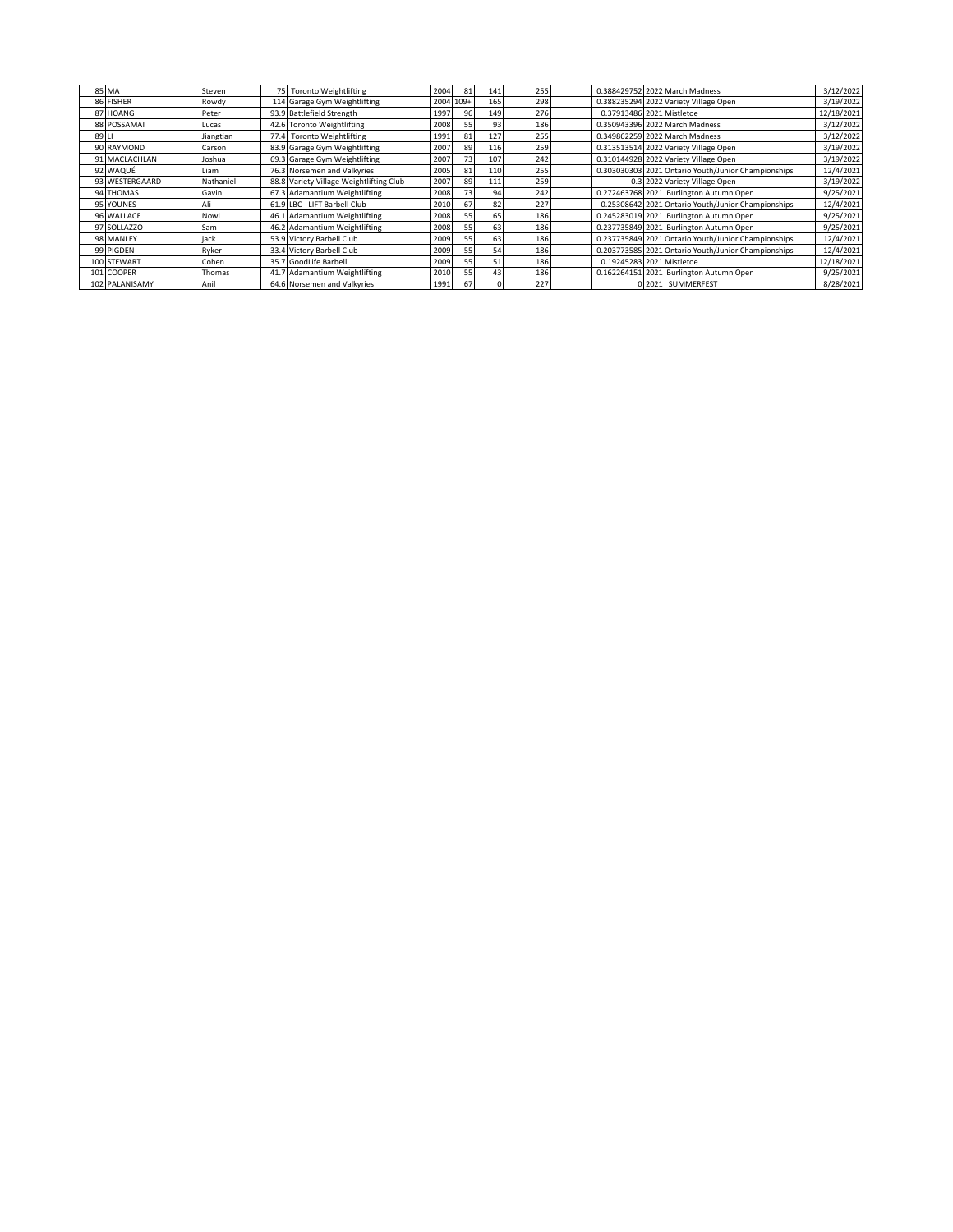|       | 85 MA          | Steven    | 75 Toronto Weightlifting                | 2004 | 81        | 141 | 255 |  | 0.388429752 2022 March Madness                      | 3/12/2022  |
|-------|----------------|-----------|-----------------------------------------|------|-----------|-----|-----|--|-----------------------------------------------------|------------|
|       | 86 FISHER      | Rowdy     | 114 Garage Gym Weightlifting            |      | 2004 109+ | 165 | 298 |  | 0.388235294 2022 Variety Village Open               | 3/19/2022  |
|       | 87 HOANG       | Peter     | 93.9 Battlefield Strength               | 1997 | 96        | 149 | 276 |  | 0.37913486 2021 Mistletoe                           | 12/18/2021 |
|       | 88 POSSAMAI    | Lucas     | 42.6 Toronto Weightlifting              | 2008 |           | 93  | 186 |  | 0.350943396 2022 March Madness                      | 3/12/2022  |
| 89 LI |                | Jiangtian | 77.4 Toronto Weightlifting              | 1991 | 81        | 127 | 255 |  | 0.349862259 2022 March Madness                      | 3/12/2022  |
|       | 90 RAYMOND     | Carson    | 83.9 Garage Gym Weightlifting           | 2007 | 89        | 116 | 259 |  | 0.313513514 2022 Variety Village Open               | 3/19/2022  |
|       | 91 MACLACHLAN  | Joshua    | 69.3 Garage Gym Weightlifting           | 2007 | 73        | 107 | 242 |  | 0.310144928 2022 Variety Village Open               | 3/19/2022  |
|       | 92 WAQUÉ       | Liam      | 76.3 Norsemen and Valkyries             | 2005 | 81        | 110 | 255 |  | 0.303030303 2021 Ontario Youth/Junior Championships | 12/4/2021  |
|       | 93 WESTERGAARD | Nathaniel | 88.8 Variety Village Weightlifting Club | 2007 | 89        | 111 | 259 |  | 0.3 2022 Variety Village Open                       | 3/19/2022  |
|       | 94 THOMAS      | Gavin     | 67.3 Adamantium Weightlifting           | 2008 | 73        | 94  | 242 |  | 0.272463768 2021 Burlington Autumn Open             | 9/25/2021  |
|       | 95 YOUNES      | Ali       | 61.9 LBC - LIFT Barbell Club            | 2010 | 67        | 82  | 227 |  | 0.25308642 2021 Ontario Youth/Junior Championships  | 12/4/2021  |
|       | 96 WALLACE     | Nowl      | 46.1 Adamantium Weightlifting           | 2008 | 55        | 65  | 186 |  | 0.245283019 2021 Burlington Autumn Open             | 9/25/2021  |
|       | 97 SOLLAZZO    | Sam       | 46.2 Adamantium Weightlifting           | 2008 | 55        | 63  | 186 |  | 0.237735849 2021 Burlington Autumn Open             | 9/25/2021  |
|       | 98 MANLEY      | iack      | 53.9 Victory Barbell Club               | 2009 | 55        | 63  | 186 |  | 0.237735849 2021 Ontario Youth/Junior Championships | 12/4/2021  |
|       | 99 PIGDEN      | Ryker     | 33.4 Victory Barbell Club               | 2009 | 55        | 54  | 186 |  | 0.203773585 2021 Ontario Youth/Junior Championships | 12/4/2021  |
|       | 100 STEWART    | Cohen     | 35.7 GoodLife Barbell                   | 2009 | 55        | 51  | 186 |  | 0.19245283 2021 Mistletoe                           | 12/18/2021 |
|       | 101 COOPER     | Thomas    | 41.7 Adamantium Weightlifting           | 2010 | 55        | 43  | 186 |  | 0.162264151 2021 Burlington Autumn Open             | 9/25/2021  |
|       | 102 PALANISAMY | Anil      | 64.6 Norsemen and Valkyries             | 1991 | 67        |     | 227 |  | 0 2021 SUMMERFEST                                   | 8/28/2021  |